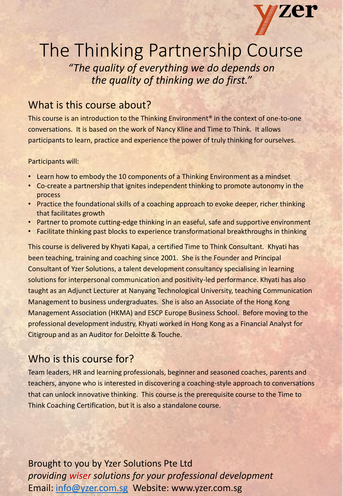

# The Thinking Partnership Course

*"The quality of everything we do depends on the quality of thinking we do first."* 

# What is this course about?

This course is an introduction to the Thinking Environment® in the context of one-to-one conversations. It is based on the work of Nancy Kline and Time to Think. It allows participants to learn, practice and experience the power of truly thinking for ourselves.

#### Participants will:

- Learn how to embody the 10 components of a Thinking Environment as a mindset
- Co-create a partnership that ignites independent thinking to promote autonomy in the process
- Practice the foundational skills of a coaching approach to evoke deeper, richer thinking that facilitates growth
- Partner to promote cutting-edge thinking in an easeful, safe and supportive environment
- Facilitate thinking past blocks to experience transformational breakthroughs in thinking

This course is delivered by Khyati Kapai, a certified Time to Think Consultant. Khyati has been teaching, training and coaching since 2001. She is the Founder and Principal Consultant of Yzer Solutions, a talent development consultancy specialising in learning solutions for interpersonal communication and positivity-led performance. Khyati has also taught as an Adjunct Lecturer at Nanyang Technological University, teaching Communication Management to business undergraduates. She is also an Associate of the Hong Kong Management Association (HKMA) and ESCP Europe Business School. Before moving to the professional development industry, Khyati worked in Hong Kong as a Financial Analyst for Citigroup and as an Auditor for Deloitte & Touche.

# Who is this course for?

Team leaders, HR and learning professionals, beginner and seasoned coaches, parents and teachers, anyone who is interested in discovering a coaching-style approach to conversations that can unlock innovative thinking. This course is the prerequisite course to the Time to Think Coaching Certification, but it is also a standalone course.

Brought to you by Yzer Solutions Pte Ltd *providing wiser solutions for your professional development*  Email: [info@yzer.com.sg](mailto:info@yzer.com.sg) Website: www.yzer.com.sg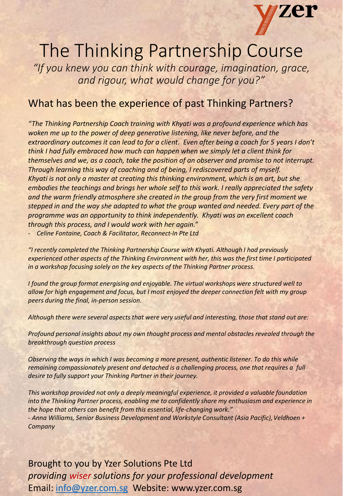

# The Thinking Partnership Course

*"If you knew you can think with courage, imagination, grace, and rigour, what would change for you?"* 

# What has been the experience of past Thinking Partners?

*"The Thinking Partnership Coach training with Khyati was a profound experience which has woken me up to the power of deep generative listening, like never before, and the extraordinary outcomes it can lead to for a client. Even after being a coach for 5 years I don't think I had fully embraced how much can happen when we simply let a client think for themselves and we, as a coach, take the position of an observer and promise to not interrupt. Through learning this way of coaching and of being, I rediscovered parts of myself. Khyati is not only a master at creating this thinking environment, which is an art, but she embodies the teachings and brings her whole self to this work. I really appreciated the safety and the warm friendly atmosphere she created in the group from the very first moment we stepped in and the way she adapted to what the group wanted and needed. Every part of the programme was an opportunity to think independently. Khyati was an excellent coach through this process, and I would work with her again."*

- *Celine Fontaine, Coach & Facilitator, Reconnect-In Pte Ltd*

*"I recently completed the Thinking Partnership Course with Khyati. Although I had previously experienced other aspects of the Thinking Environment with her, this was the first time I participated in a workshop focusing solely on the key aspects of the Thinking Partner process.* 

*I found the group format energising and enjoyable. The virtual workshops were structured well to allow for high engagement and focus, but I most enjoyed the deeper connection felt with my group peers during the final, in-person session.* 

*Although there were several aspects that were very useful and interesting, those that stand out are:* 

*Profound personal insights about my own thought process and mental obstacles revealed through the breakthrough question process*

*Observing the ways in which I was becoming a more present, authentic listener. To do this while remaining compassionately present and detached is a challenging process, one that requires a full desire to fully support your Thinking Partner in their journey.* 

*This workshop provided not only a deeply meaningful experience, it provided a valuable foundation into the Thinking Partner process, enabling me to confidently share my enthusiasm and experience in the hope that others can benefit from this essential, life-changing work." - Anna Williams, Senior Business Development and Workstyle Consultant (Asia Pacific), Veldhoen + Company*

Brought to you by Yzer Solutions Pte Ltd *providing wiser solutions for your professional development*  Email: [info@yzer.com.sg](mailto:info@yzer.com.sg) Website: www.yzer.com.sg